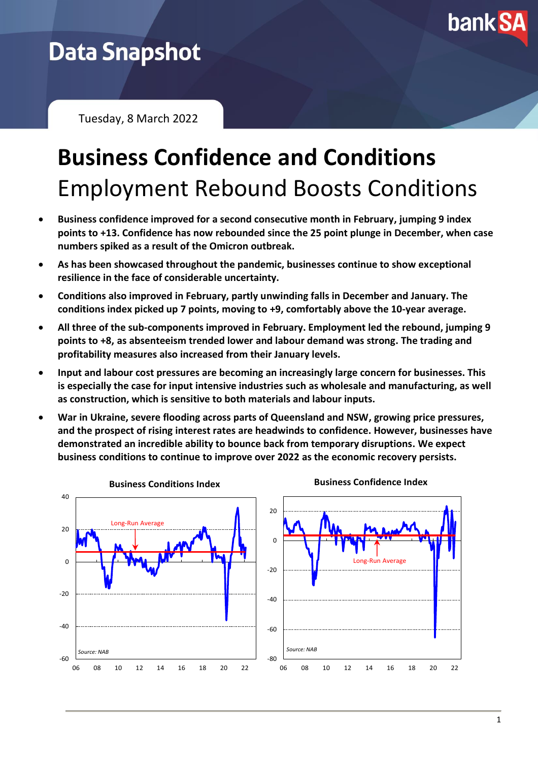

## **Data Snapshot**

Tuesday, 8 March 2022

## **Business Confidence and Conditions** Employment Rebound Boosts Conditions

- **Business confidence improved for a second consecutive month in February, jumping 9 index points to +13. Confidence has now rebounded since the 25 point plunge in December, when case numbers spiked as a result of the Omicron outbreak.**
- **As has been showcased throughout the pandemic, businesses continue to show exceptional resilience in the face of considerable uncertainty.**
- **Conditions also improved in February, partly unwinding falls in December and January. The conditions index picked up 7 points, moving to +9, comfortably above the 10-year average.**
- **All three of the sub-components improved in February. Employment led the rebound, jumping 9 points to +8, as absenteeism trended lower and labour demand was strong. The trading and profitability measures also increased from their January levels.**
- **Input and labour cost pressures are becoming an increasingly large concern for businesses. This is especially the case for input intensive industries such as wholesale and manufacturing, as well as construction, which is sensitive to both materials and labour inputs.**
- **War in Ukraine, severe flooding across parts of Queensland and NSW, growing price pressures, and the prospect of rising interest rates are headwinds to confidence. However, businesses have demonstrated an incredible ability to bounce back from temporary disruptions. We expect business conditions to continue to improve over 2022 as the economic recovery persists.**

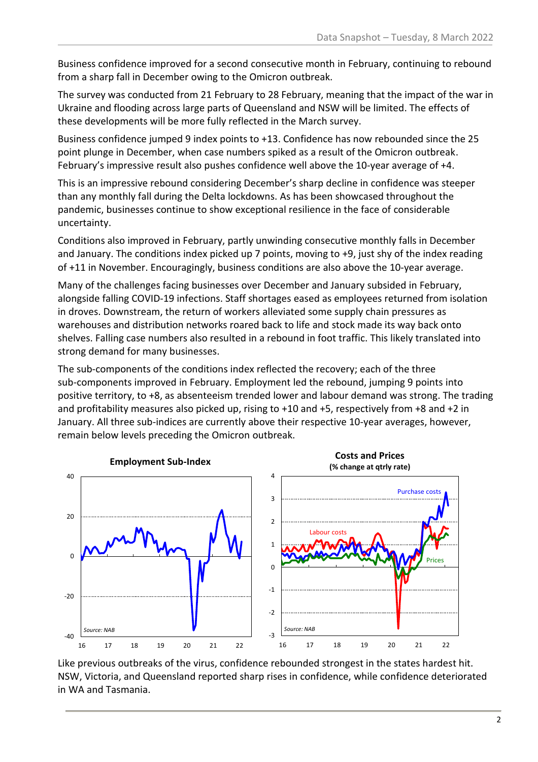Business confidence improved for a second consecutive month in February, continuing to rebound from a sharp fall in December owing to the Omicron outbreak.

The survey was conducted from 21 February to 28 February, meaning that the impact of the war in Ukraine and flooding across large parts of Queensland and NSW will be limited. The effects of these developments will be more fully reflected in the March survey.

Business confidence jumped 9 index points to +13. Confidence has now rebounded since the 25 point plunge in December, when case numbers spiked as a result of the Omicron outbreak. February's impressive result also pushes confidence well above the 10-year average of +4.

This is an impressive rebound considering December's sharp decline in confidence was steeper than any monthly fall during the Delta lockdowns. As has been showcased throughout the pandemic, businesses continue to show exceptional resilience in the face of considerable uncertainty.

Conditions also improved in February, partly unwinding consecutive monthly falls in December and January. The conditions index picked up 7 points, moving to +9, just shy of the index reading of +11 in November. Encouragingly, business conditions are also above the 10-year average.

Many of the challenges facing businesses over December and January subsided in February, alongside falling COVID-19 infections. Staff shortages eased as employees returned from isolation in droves. Downstream, the return of workers alleviated some supply chain pressures as warehouses and distribution networks roared back to life and stock made its way back onto shelves. Falling case numbers also resulted in a rebound in foot traffic. This likely translated into strong demand for many businesses.

The sub-components of the conditions index reflected the recovery; each of the three sub-components improved in February. Employment led the rebound, jumping 9 points into positive territory, to +8, as absenteeism trended lower and labour demand was strong. The trading and profitability measures also picked up, rising to +10 and +5, respectively from +8 and +2 in January. All three sub-indices are currently above their respective 10-year averages, however, remain below levels preceding the Omicron outbreak.



Like previous outbreaks of the virus, confidence rebounded strongest in the states hardest hit. NSW, Victoria, and Queensland reported sharp rises in confidence, while confidence deteriorated in WA and Tasmania.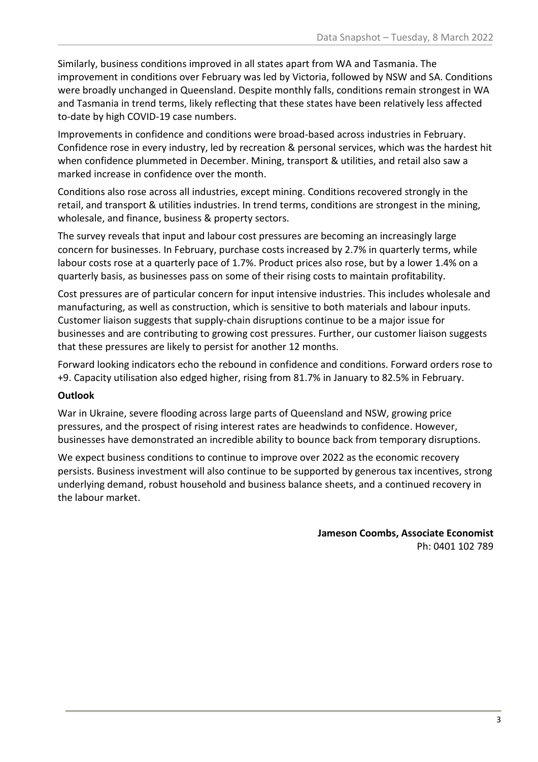Similarly, business conditions improved in all states apart from WA and Tasmania. The improvement in conditions over February was led by Victoria, followed by NSW and SA. Conditions were broadly unchanged in Queensland. Despite monthly falls, conditions remain strongest in WA and Tasmania in trend terms, likely reflecting that these states have been relatively less affected to-date by high COVID-19 case numbers.

Improvements in confidence and conditions were broad-based across industries in February. Confidence rose in every industry, led by recreation & personal services, which was the hardest hit when confidence plummeted in December. Mining, transport & utilities, and retail also saw a marked increase in confidence over the month.

Conditions also rose across all industries, except mining. Conditions recovered strongly in the retail, and transport & utilities industries. In trend terms, conditions are strongest in the mining, wholesale, and finance, business & property sectors.

The survey reveals that input and labour cost pressures are becoming an increasingly large concern for businesses. In February, purchase costs increased by 2.7% in quarterly terms, while labour costs rose at a quarterly pace of 1.7%. Product prices also rose, but by a lower 1.4% on a quarterly basis, as businesses pass on some of their rising costs to maintain profitability.

Cost pressures are of particular concern for input intensive industries. This includes wholesale and manufacturing, as well as construction, which is sensitive to both materials and labour inputs. Customer liaison suggests that supply-chain disruptions continue to be a major issue for businesses and are contributing to growing cost pressures. Further, our customer liaison suggests that these pressures are likely to persist for another 12 months.

Forward looking indicators echo the rebound in confidence and conditions. Forward orders rose to +9. Capacity utilisation also edged higher, rising from 81.7% in January to 82.5% in February.

## **Outlook**

War in Ukraine, severe flooding across large parts of Queensland and NSW, growing price pressures, and the prospect of rising interest rates are headwinds to confidence. However, businesses have demonstrated an incredible ability to bounce back from temporary disruptions.

We expect business conditions to continue to improve over 2022 as the economic recovery persists. Business investment will also continue to be supported by generous tax incentives, strong underlying demand, robust household and business balance sheets, and a continued recovery in the labour market.

> **Jameson Coombs, Associate Economist** Ph: 0401 102 789